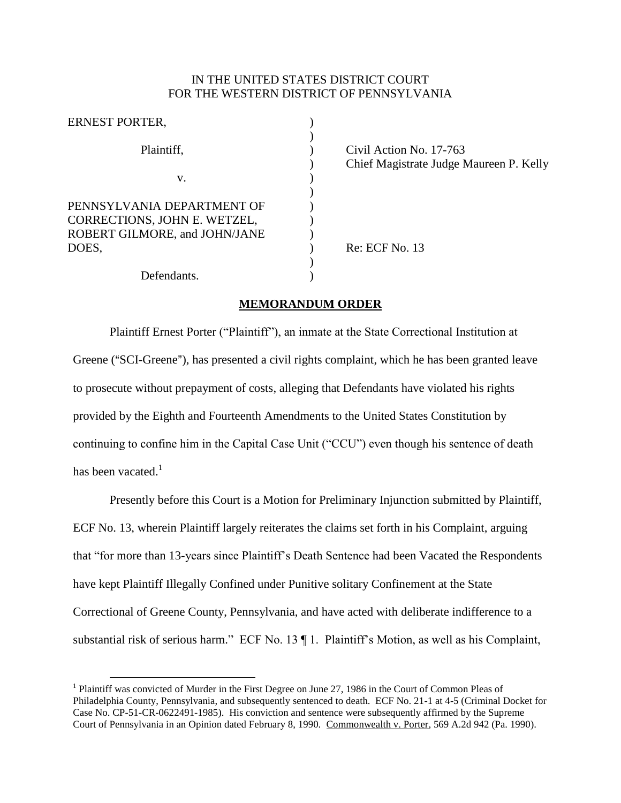## IN THE UNITED STATES DISTRICT COURT FOR THE WESTERN DISTRICT OF PENNSYLVANIA

| Civil Action No. 17-763                 |
|-----------------------------------------|
| Chief Magistrate Judge Maureen P. Kelly |
|                                         |
|                                         |
|                                         |
|                                         |
|                                         |
| Re: ECF No. 13                          |
|                                         |
|                                         |
|                                         |

## **MEMORANDUM ORDER**

Plaintiff Ernest Porter ("Plaintiff"), an inmate at the State Correctional Institution at Greene ("SCI-Greene"), has presented a civil rights complaint, which he has been granted leave to prosecute without prepayment of costs, alleging that Defendants have violated his rights provided by the Eighth and Fourteenth Amendments to the United States Constitution by continuing to confine him in the Capital Case Unit ("CCU") even though his sentence of death has been vacated. $1$ 

Presently before this Court is a Motion for Preliminary Injunction submitted by Plaintiff, ECF No. 13, wherein Plaintiff largely reiterates the claims set forth in his Complaint, arguing that "for more than 13-years since Plaintiff's Death Sentence had been Vacated the Respondents have kept Plaintiff Illegally Confined under Punitive solitary Confinement at the State Correctional of Greene County, Pennsylvania, and have acted with deliberate indifference to a substantial risk of serious harm." ECF No. 13 ¶ 1. Plaintiff's Motion, as well as his Complaint,

 $\overline{a}$ 

<sup>&</sup>lt;sup>1</sup> Plaintiff was convicted of Murder in the First Degree on June 27, 1986 in the Court of Common Pleas of Philadelphia County, Pennsylvania, and subsequently sentenced to death. ECF No. 21-1 at 4-5 (Criminal Docket for Case No. CP-51-CR-0622491-1985). His conviction and sentence were subsequently affirmed by the Supreme Court of Pennsylvania in an Opinion dated February 8, 1990. Commonwealth v. Porter, 569 A.2d 942 (Pa. 1990).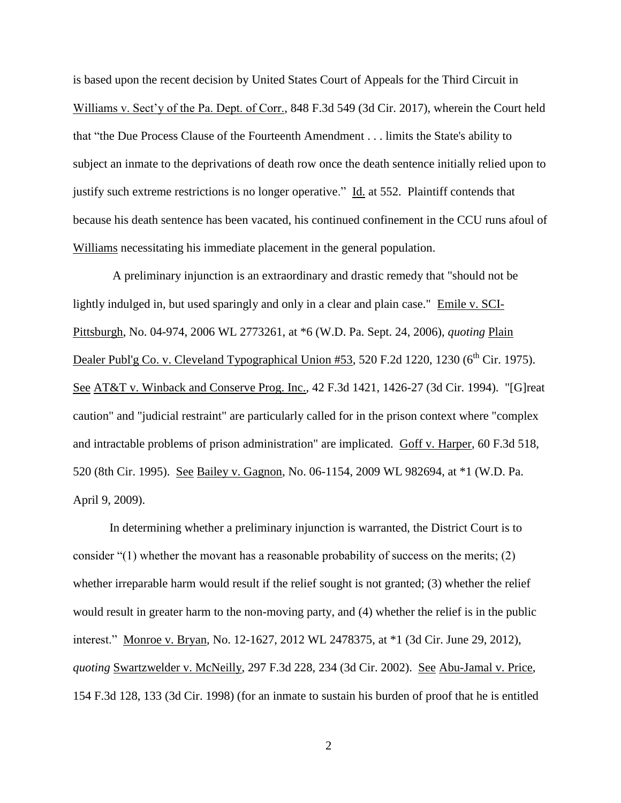is based upon the recent decision by United States Court of Appeals for the Third Circuit in Williams v. Sect'y of the Pa. Dept. of Corr., 848 F.3d 549 (3d Cir. 2017), wherein the Court held that "the Due Process Clause of the Fourteenth Amendment . . . limits the State's ability to subject an inmate to the deprivations of death row once the death sentence initially relied upon to justify such extreme restrictions is no longer operative." Id. at 552. Plaintiff contends that because his death sentence has been vacated, his continued confinement in the CCU runs afoul of Williams necessitating his immediate placement in the general population.

A preliminary injunction is an extraordinary and drastic remedy that "should not be lightly indulged in, but used sparingly and only in a clear and plain case." Emile v. SCI-Pittsburgh, No. 04-974, 2006 WL 2773261, at \*6 (W.D. Pa. Sept. 24, 2006), *quoting* Plain Dealer Publ'g Co. v. Cleveland Typographical Union #53, 520 F.2d 1220, 1230 (6<sup>th</sup> Cir. 1975). See AT&T v. Winback and Conserve Prog. Inc., 42 F.3d 1421, 1426-27 (3d Cir. 1994). "[G]reat caution" and "judicial restraint" are particularly called for in the prison context where "complex and intractable problems of prison administration" are implicated. Goff v. Harper, 60 F.3d 518, 520 (8th Cir. 1995). See Bailey v. Gagnon, No. 06-1154, 2009 WL 982694, at \*1 (W.D. Pa. April 9, 2009).

In determining whether a preliminary injunction is warranted, the District Court is to consider "(1) whether the movant has a reasonable probability of success on the merits; (2) whether irreparable harm would result if the relief sought is not granted; (3) whether the relief would result in greater harm to the non-moving party, and (4) whether the relief is in the public interest." Monroe v. Bryan, No. 12-1627, 2012 WL 2478375, at \*1 (3d Cir. June 29, 2012), *quoting* Swartzwelder v. McNeilly, 297 F.3d 228, 234 (3d Cir. 2002). See Abu-Jamal v. Price, 154 F.3d 128, 133 (3d Cir. 1998) (for an inmate to sustain his burden of proof that he is entitled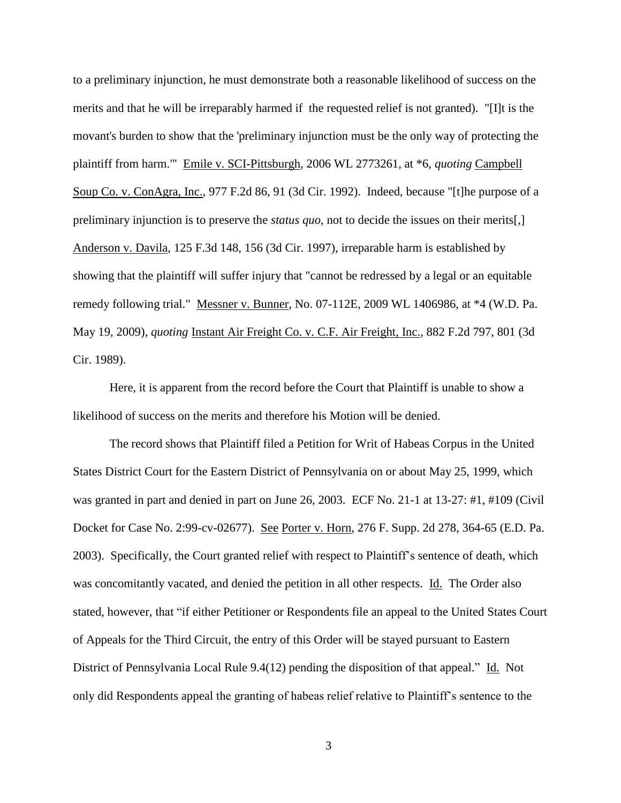to a preliminary injunction, he must demonstrate both a reasonable likelihood of success on the merits and that he will be irreparably harmed if the requested relief is not granted). "[I]t is the movant's burden to show that the 'preliminary injunction must be the only way of protecting the plaintiff from harm.'" Emile v. SCI-Pittsburgh, 2006 WL 2773261, at \*6, *quoting* Campbell Soup Co. v. ConAgra, Inc., 977 F.2d 86, 91 (3d Cir. 1992). Indeed, because "[t]he purpose of a preliminary injunction is to preserve the *status quo*, not to decide the issues on their merits[,] Anderson v. Davila, 125 F.3d 148, 156 (3d Cir. 1997), irreparable harm is established by showing that the plaintiff will suffer injury that "cannot be redressed by a legal or an equitable remedy following trial." Messner v. Bunner, No. 07-112E, 2009 WL 1406986, at \*4 (W.D. Pa. May 19, 2009), *quoting* Instant Air Freight Co. v. C.F. Air Freight, Inc., 882 F.2d 797, 801 (3d Cir. 1989).

Here, it is apparent from the record before the Court that Plaintiff is unable to show a likelihood of success on the merits and therefore his Motion will be denied.

The record shows that Plaintiff filed a Petition for Writ of Habeas Corpus in the United States District Court for the Eastern District of Pennsylvania on or about May 25, 1999, which was granted in part and denied in part on June 26, 2003. ECF No. 21-1 at 13-27: #1, #109 (Civil Docket for Case No. 2:99-cv-02677). See Porter v. Horn, 276 F. Supp. 2d 278, 364-65 (E.D. Pa. 2003). Specifically, the Court granted relief with respect to Plaintiff's sentence of death, which was concomitantly vacated, and denied the petition in all other respects. Id. The Order also stated, however, that "if either Petitioner or Respondents file an appeal to the United States Court of Appeals for the Third Circuit, the entry of this Order will be stayed pursuant to Eastern District of Pennsylvania Local Rule 9.4(12) pending the disposition of that appeal." Id. Not only did Respondents appeal the granting of habeas relief relative to Plaintiff's sentence to the

3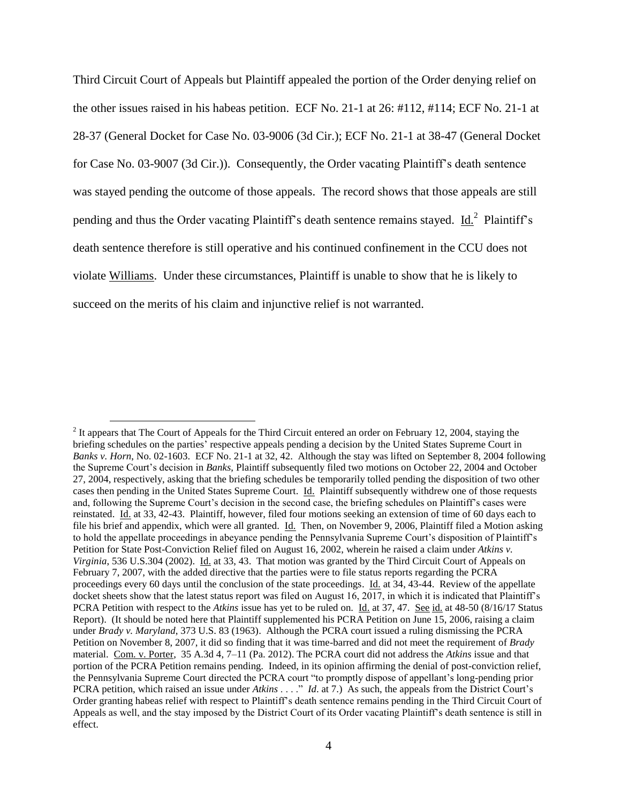Third Circuit Court of Appeals but Plaintiff appealed the portion of the Order denying relief on the other issues raised in his habeas petition. ECF No. 21-1 at 26: #112, #114; ECF No. 21-1 at 28-37 (General Docket for Case No. 03-9006 (3d Cir.); ECF No. 21-1 at 38-47 (General Docket for Case No. 03-9007 (3d Cir.)). Consequently, the Order vacating Plaintiff's death sentence was stayed pending the outcome of those appeals. The record shows that those appeals are still pending and thus the Order vacating Plaintiff's death sentence remains stayed.  $\underline{Id.}^2$  Plaintiff's death sentence therefore is still operative and his continued confinement in the CCU does not violate Williams. Under these circumstances, Plaintiff is unable to show that he is likely to succeed on the merits of his claim and injunctive relief is not warranted.

 $\overline{a}$ 

 $2$  It appears that The Court of Appeals for the Third Circuit entered an order on February 12, 2004, staying the briefing schedules on the parties' respective appeals pending a decision by the United States Supreme Court in *Banks v. Horn*, No. 02-1603. ECF No. 21-1 at 32, 42. Although the stay was lifted on September 8, 2004 following the Supreme Court's decision in *Banks*, Plaintiff subsequently filed two motions on October 22, 2004 and October 27, 2004, respectively, asking that the briefing schedules be temporarily tolled pending the disposition of two other cases then pending in the United States Supreme Court. Id. Plaintiff subsequently withdrew one of those requests and, following the Supreme Court's decision in the second case, the briefing schedules on Plaintiff's cases were reinstated. Id. at 33, 42-43. Plaintiff, however, filed four motions seeking an extension of time of 60 days each to file his brief and appendix, which were all granted. Id. Then, on November 9, 2006, Plaintiff filed a Motion asking to hold the appellate proceedings in abeyance pending the Pennsylvania Supreme Court's disposition of Plaintiff's Petition for State Post-Conviction Relief filed on August 16, 2002, wherein he raised a claim under *Atkins v. Virginia*, 536 U.S.304 (2002). Id. at 33, 43. That motion was granted by the Third Circuit Court of Appeals on February 7, 2007, with the added directive that the parties were to file status reports regarding the PCRA proceedings every 60 days until the conclusion of the state proceedings. Id. at 34, 43-44. Review of the appellate docket show that the latest status report was filed on August 16, 2017, in which it is indicated that Plaintiff's PCRA Petition with respect to the *Atkins* issue has yet to be ruled on. Id. at 37, 47. See id. at 48-50 (8/16/17 Status Report). (It should be noted here that Plaintiff supplemented his PCRA Petition on June 15, 2006, raising a claim under *Brady v. Maryland*, 373 U.S. 83 (1963). Although the PCRA court issued a ruling dismissing the PCRA Petition on November 8, 2007, it did so finding that it was time-barred and did not meet the requirement of *Brady* material. Com. v. Porter, 35 A.3d 4, 7–11 (Pa. 2012). The PCRA court did not address the *Atkins* issue and that portion of the PCRA Petition remains pending. Indeed, in its opinion affirming the denial of post-conviction relief, the Pennsylvania Supreme Court directed the PCRA court "to promptly dispose of appellant's long-pending prior PCRA petition, which raised an issue under *Atkins* . . . ." *Id*. at 7.) As such, the appeals from the District Court's Order granting habeas relief with respect to Plaintiff's death sentence remains pending in the Third Circuit Court of Appeals as well, and the stay imposed by the District Court of its Order vacating Plaintiff's death sentence is still in effect.